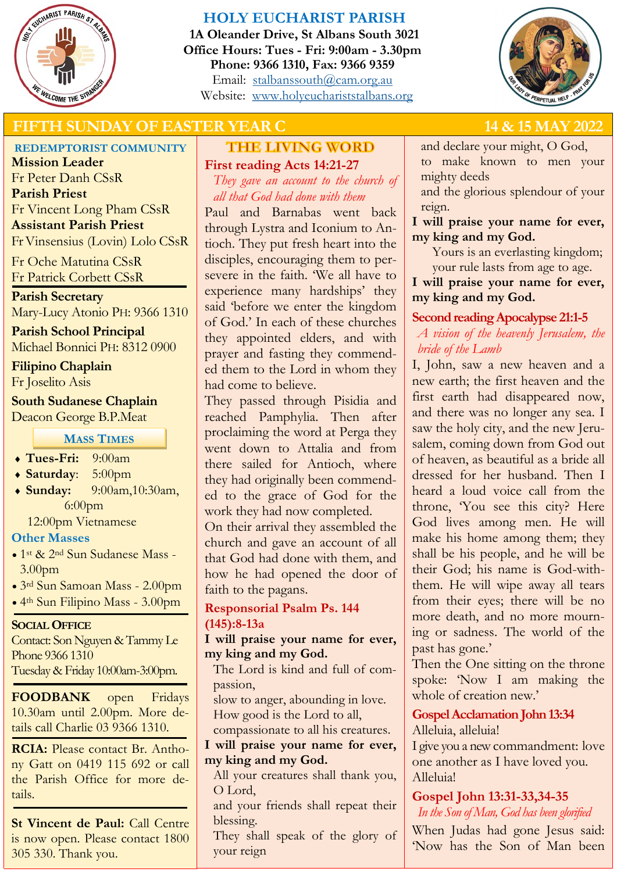

# **HOLY EUCHARIST PARISH**

**1A Oleander Drive, St Albans South 3021 Office Hours: Tues - Fri: 9:00am - 3.30pm Phone: 9366 1310, Fax: 9366 9359** Email: [stalbanssouth@cam.org.au](mailto:stalbanssouth@cam.org.au) Website:[www.holyeuchariststalbans.org](http://www.holyeuchariststalbans.org)



# **FIFTH SUNDAY OF EASTER YEAR C** 14 & 15 MAY 2022

# **REDEMPTORIST COMMUNITY**

**Mission Leader** Fr Peter Danh CSsR **Parish Priest** Fr Vincent Long Pham CSsR **Assistant Parish Priest**  Fr Vinsensius (Lovin) Lolo CSsR

Fr Oche Matutina CSsR Fr Patrick Corbett CSsR

**Parish Secretary** Mary-Lucy Atonio PH: 9366 1310

**Parish School Principal** Michael Bonnici PH: 8312 0900

**Filipino Chaplain** Fr Joselito Asis

**South Sudanese Chaplain** Deacon George B.P.Meat

**MASS TIMES**

- **Tues-Fri:** 9:00am
- **Saturday**: 5:00pm
- **Sunday:** 9:00am,10:30am, 6:00pm

12:00pm Vietnamese

#### **Other Masses**

- 1st & 2nd Sun Sudanese Mass 3.00pm
- 3rd Sun Samoan Mass 2.00pm
- 4th Sun Filipino Mass 3.00pm

#### **SOCIAL OFFICE**

Contact: Son Nguyen & Tammy Le Phone 9366 1310 Tuesday & Friday 10:00am-3:00pm.

**FOODBANK** open Fridays 10.30am until 2.00pm. More details call Charlie 03 9366 1310.

**RCIA:** Please contact Br. Anthony Gatt on 0419 115 692 or call the Parish Office for more details.

**St Vincent de Paul:** Call Centre is now open. Please contact 1800 305 330. Thank you.

# **THE LIVING WORD First reading Acts 14:21-27**

*They gave an account to the church of all that God had done with them*

Paul and Barnabas went back through Lystra and Iconium to Antioch. They put fresh heart into the disciples, encouraging them to persevere in the faith. 'We all have to experience many hardships' they said 'before we enter the kingdom of God.' In each of these churches they appointed elders, and with prayer and fasting they commended them to the Lord in whom they had come to believe.

They passed through Pisidia and reached Pamphylia. Then after proclaiming the word at Perga they went down to Attalia and from there sailed for Antioch, where they had originally been commended to the grace of God for the work they had now completed.

On their arrival they assembled the church and gave an account of all that God had done with them, and how he had opened the door of faith to the pagans.

# **Responsorial Psalm Ps. 144 (145):8-13a**

**I will praise your name for ever, my king and my God.**

The Lord is kind and full of compassion,

slow to anger, abounding in love. How good is the Lord to all,

compassionate to all his creatures. **I will praise your name for ever,** 

# **my king and my God.**

All your creatures shall thank you, O Lord,

and your friends shall repeat their blessing.

They shall speak of the glory of your reign

and declare your might, O God, to make known to men your mighty deeds

and the glorious splendour of your reign.

**I will praise your name for ever, my king and my God.**

Yours is an everlasting kingdom; your rule lasts from age to age.

**I will praise your name for ever, my king and my God.**

# **Second reading Apocalypse 21:1-5**

*A vision of the heavenly Jerusalem, the bride of the Lamb*

I, John, saw a new heaven and a new earth; the first heaven and the first earth had disappeared now, and there was no longer any sea. I saw the holy city, and the new Jerusalem, coming down from God out of heaven, as beautiful as a bride all dressed for her husband. Then I heard a loud voice call from the throne, 'You see this city? Here God lives among men. He will make his home among them; they shall be his people, and he will be their God; his name is God-withthem. He will wipe away all tears from their eyes; there will be no more death, and no more mourning or sadness. The world of the past has gone.'

Then the One sitting on the throne spoke: 'Now I am making the whole of creation new.'

**Gospel Acclamation John 13:34** Alleluia, alleluia!

I give you a new commandment: love one another as I have loved you. Alleluia!

**Gospel John 13:31-33,34-35** *In the Son of Man, God has been glorified*

When Judas had gone Jesus said: 'Now has the Son of Man been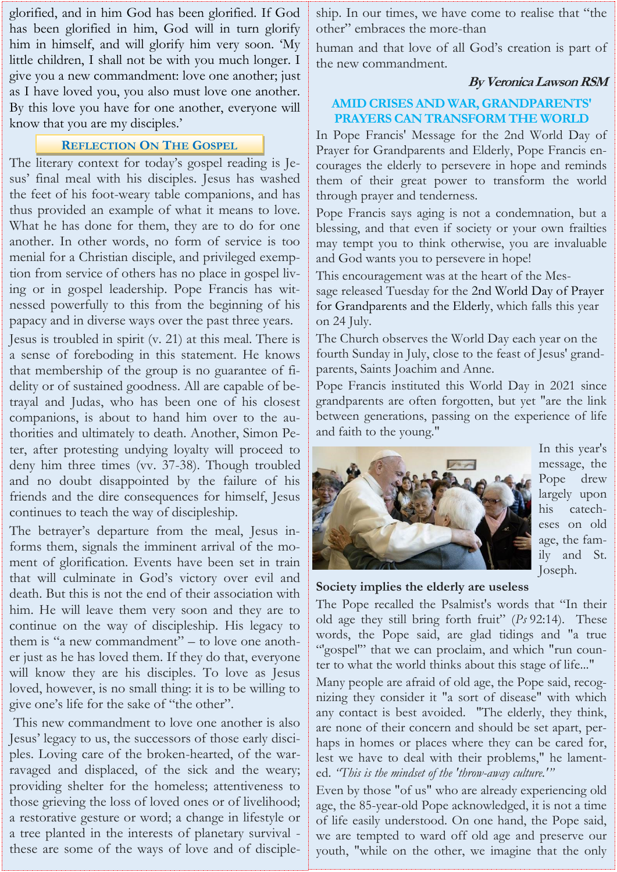glorified, and in him God has been glorified. If God has been glorified in him, God will in turn glorify him in himself, and will glorify him very soon. 'My little children, I shall not be with you much longer. I give you a new commandment: love one another; just as I have loved you, you also must love one another. By this love you have for one another, everyone will know that you are my disciples.'

#### **REFLECTION ON THE GOSPEL**

The literary context for today's gospel reading is Jesus' final meal with his disciples. Jesus has washed the feet of his foot-weary table companions, and has thus provided an example of what it means to love. What he has done for them, they are to do for one another. In other words, no form of service is too menial for a Christian disciple, and privileged exemption from service of others has no place in gospel living or in gospel leadership. Pope Francis has witnessed powerfully to this from the beginning of his papacy and in diverse ways over the past three years.

Jesus is troubled in spirit (v. 21) at this meal. There is a sense of foreboding in this statement. He knows that membership of the group is no guarantee of fidelity or of sustained goodness. All are capable of betrayal and Judas, who has been one of his closest companions, is about to hand him over to the authorities and ultimately to death. Another, Simon Peter, after protesting undying loyalty will proceed to deny him three times (vv. 37-38). Though troubled and no doubt disappointed by the failure of his friends and the dire consequences for himself, Jesus continues to teach the way of discipleship.

The betrayer's departure from the meal, Jesus informs them, signals the imminent arrival of the moment of glorification. Events have been set in train that will culminate in God's victory over evil and death. But this is not the end of their association with him. He will leave them very soon and they are to continue on the way of discipleship. His legacy to them is "a new commandment" – to love one another just as he has loved them. If they do that, everyone will know they are his disciples. To love as Jesus loved, however, is no small thing: it is to be willing to give one's life for the sake of "the other".

This new commandment to love one another is also Jesus' legacy to us, the successors of those early disciples. Loving care of the broken-hearted, of the warravaged and displaced, of the sick and the weary; providing shelter for the homeless; attentiveness to those grieving the loss of loved ones or of livelihood; a restorative gesture or word; a change in lifestyle or a tree planted in the interests of planetary survival these are some of the ways of love and of discipleship. In our times, we have come to realise that "the other" embraces the more-than

human and that love of all God's creation is part of the new commandment.

#### **By Veronica Lawson RSM**

# **AMID CRISES AND WAR, GRANDPARENTS' PRAYERS CAN TRANSFORM THE WORLD**

In Pope Francis' Message for the 2nd World Day of Prayer for Grandparents and Elderly, Pope Francis encourages the elderly to persevere in hope and reminds them of their great power to transform the world through prayer and tenderness.

Pope Francis says aging is not a condemnation, but a blessing, and that even if society or your own frailties may tempt you to think otherwise, you are invaluable and God wants you to persevere in hope!

This encouragement was at the heart of the Mes-

sage released Tuesday for the [2nd World Day of Prayer](https://www.vatican.va/content/francesco/en/messages/nonni/documents/20220503-messaggio-nonni-anziani.html)  [for Grandparents and the Elderly,](https://www.vatican.va/content/francesco/en/messages/nonni/documents/20220503-messaggio-nonni-anziani.html) which falls this year on 24 July.

The Church observes the World Day each year on the fourth Sunday in July, close to the feast of Jesus' grandparents, Saints Joachim and Anne.

Pope Francis instituted this World Day in 2021 since grandparents are often forgotten, but yet "are the link between generations, passing on the experience of life and faith to the young."



In this year's message, the Pope drew largely upon his catecheses on old age, the family and St. Joseph.

#### **Society implies the elderly are useless**

The Pope recalled the Psalmist's words that "In their old age they still bring forth fruit" (*Ps* 92:14). These words, the Pope said, are glad tidings and "a true "'gospel'" that we can proclaim, and which "run counter to what the world thinks about this stage of life..."

Many people are afraid of old age, the Pope said, recognizing they consider it "a sort of disease" with which any contact is best avoided. "The elderly, they think, are none of their concern and should be set apart, perhaps in homes or places where they can be cared for, lest we have to deal with their problems," he lamented. *"This is the mindset of the 'throw-away culture.'"*

Even by those "of us" who are already experiencing old age, the 85-year-old Pope acknowledged, it is not a time of life easily understood. On one hand, the Pope said, we are tempted to ward off old age and preserve our youth, "while on the other, we imagine that the only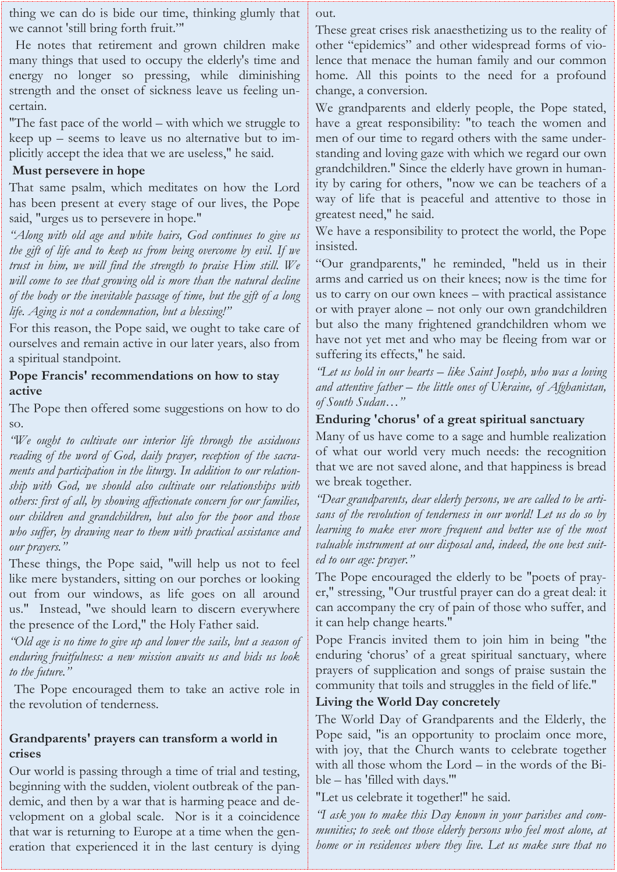thing we can do is bide our time, thinking glumly that we cannot 'still bring forth fruit."'

He notes that retirement and grown children make many things that used to occupy the elderly's time and energy no longer so pressing, while diminishing strength and the onset of sickness leave us feeling uncertain.

"The fast pace of the world – with which we struggle to keep up – seems to leave us no alternative but to implicitly accept the idea that we are useless," he said.

#### **Must persevere in hope**

That same psalm, which meditates on how the Lord has been present at every stage of our lives, the Pope said, "urges us to persevere in hope."

*"Along with old age and white hairs, God continues to give us the gift of life and to keep us from being overcome by evil. If we trust in him, we will find the strength to praise Him still. We will come to see that growing old is more than the natural decline of the body or the inevitable passage of time, but the gift of a long life. Aging is not a condemnation, but a blessing!"*

For this reason, the Pope said, we ought to take care of ourselves and remain active in our later years, also from a spiritual standpoint.

#### **Pope Francis' recommendations on how to stay active**

The Pope then offered some suggestions on how to do so.

*"We ought to cultivate our interior life through the assiduous reading of the word of God, daily prayer, reception of the sacraments and participation in the liturgy. In addition to our relationship with God, we should also cultivate our relationships with others: first of all, by showing affectionate concern for our families, our children and grandchildren, but also for the poor and those who suffer, by drawing near to them with practical assistance and our prayers."*

These things, the Pope said, "will help us not to feel like mere bystanders, sitting on our porches or looking out from our windows, as life goes on all around us." Instead, "we should learn to discern everywhere the presence of the Lord," the Holy Father said.

*"Old age is no time to give up and lower the sails, but a season of enduring fruitfulness: a new mission awaits us and bids us look to the future."*

The Pope encouraged them to take an active role in the revolution of tenderness.

### **Grandparents' prayers can transform a world in crises**

Our world is passing through a time of trial and testing, beginning with the sudden, violent outbreak of the pandemic, and then by a war that is harming peace and development on a global scale. Nor is it a coincidence that war is returning to Europe at a time when the generation that experienced it in the last century is dying out.

These great crises risk anaesthetizing us to the reality of other "epidemics" and other widespread forms of violence that menace the human family and our common home. All this points to the need for a profound change, a conversion.

We grandparents and elderly people, the Pope stated, have a great responsibility: "to teach the women and men of our time to regard others with the same understanding and loving gaze with which we regard our own grandchildren." Since the elderly have grown in humanity by caring for others, "now we can be teachers of a way of life that is peaceful and attentive to those in greatest need," he said.

We have a responsibility to protect the world, the Pope insisted.

"Our grandparents," he reminded, "held us in their arms and carried us on their knees; now is the time for us to carry on our own knees – with practical assistance or with prayer alone – not only our own grandchildren but also the many frightened grandchildren whom we have not yet met and who may be fleeing from war or suffering its effects," he said.

*"Let us hold in our hearts – like Saint Joseph, who was a loving and attentive father – the little ones of Ukraine, of Afghanistan, of South Sudan…"*

### **Enduring 'chorus' of a great spiritual sanctuary**

Many of us have come to a sage and humble realization of what our world very much needs: the recognition that we are not saved alone, and that happiness is bread we break together.

*"Dear grandparents, dear elderly persons, we are called to be artisans of the revolution of tenderness in our world! Let us do so by learning to make ever more frequent and better use of the most valuable instrument at our disposal and, indeed, the one best suited to our age: prayer."*

The Pope encouraged the elderly to be "poets of prayer," stressing, "Our trustful prayer can do a great deal: it can accompany the cry of pain of those who suffer, and it can help change hearts."

Pope Francis invited them to join him in being "the enduring 'chorus' of a great spiritual sanctuary, where prayers of supplication and songs of praise sustain the community that toils and struggles in the field of life."

#### **Living the World Day concretely**

The World Day of Grandparents and the Elderly, the Pope said, "is an opportunity to proclaim once more, with joy, that the Church wants to celebrate together with all those whom the Lord – in the words of the Bible – has 'filled with days.'"

"Let us celebrate it together!" he said.

*"I ask you to make this Day known in your parishes and communities; to seek out those elderly persons who feel most alone, at home or in residences where they live. Let us make sure that no*